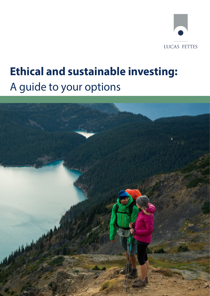

# **Ethical and sustainable investing:**  A guide to your options

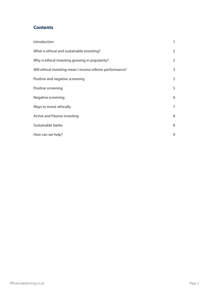## **Contents**

| Introduction                                                | 1              |
|-------------------------------------------------------------|----------------|
| What is ethical and sustainable investing?                  | $\overline{2}$ |
| Why is ethical investing growing in popularity?             | $\overline{2}$ |
| Will ethical investing mean I receive inferior performance? | 3              |
| Positive and negative screening                             | 5              |
| Positive screening                                          | 5              |
| Negative screening                                          | 6              |
| Ways to invest ethically                                    | 7              |
| Active and Passive investing                                | 8              |
| Sustainable banks                                           | 8              |
| How can we help?                                            | 9              |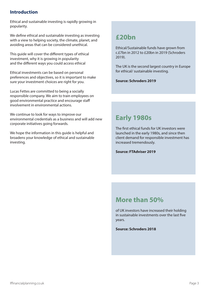## **Introduction**

Ethical and sustainable investing is rapidly growing in popularity.

We define ethical and sustainable investing as investing with a view to helping society, the climate, planet, and avoiding areas that can be considered unethical.

This guide will cover the different types of ethical investment, why it is growing in popularity and the different ways you could access ethical

Ethical investments can be based on personal preferences and objectives, so it is important to make sure your investment choices are right for you.

Lucas Fettes are committed to being a socially responsible company. We aim to train employees on good environmental practice and encourage staff involvement in environmental actions.

We continue to look for ways to improve our environmental credentials as a business and will add new corporate initiatives going forwards.

We hope the information in this guide is helpful and broadens your knowledge of ethical and sustainable investing.

## **£20bn**

Ethical/Sustainable funds have grown from c.£7bn in 2012 to £20bn in 2019 (Schroders 2019).

The UK is the second largest country in Europe for ethical/ sustainable investing.

**Source: Schroders 2019**

# **Early 1980s**

The first ethical funds for UK investors were launched in the early 1980s, and since then client demand for responsible investment has increased tremendously.

**Source: FTAdviser 2019**

# **More than 50%**

of UK investors have increased their holding in sustainable investments over the last five years.

**Source: Schroders 2018**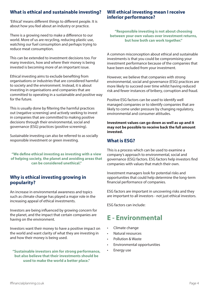## **What is ethical and sustainable investing?**

'Ethical' means different things to different people. It is about how you feel about an industry or practice.

There is a growing need to make a difference to our world. More of us are recycling, reducing plastic use, watching our fuel consumption and perhaps trying to reduce meat consumption.

This can be extended to investment decisions too. For many investors, how and where their money is being invested is becoming more of an important issue.

Ethical investing aims to exclude benefiting from organisations or industries that are considered harmful to society and the environment. Instead, it is about investing in organisations and companies that are committed to operating in a sustainable and positive way for the future.

This is usually done by filtering the harmful practices out (negative screening) and actively seeking to invest in companies that are committed to making positive decisions through their environmental, social and governance (ESG) practices (positive screening).

Sustainable investing can also be referred to as socially responsible investment or green investing.

**"We define ethical investing as investing with a view of helping society, the planet and avoiding areas that can be considered unethical."**

#### **Why is ethical investing growing in popularity?**

An increase in environmental awareness and topics such as climate change has played a major role in the increasing appeal of ethical investments.

Investors are being influenced by growing concern for the planet, and the impact that certain companies are having on the environment.

Investors want their money to have a positive impact on the world and want clarity of what they are investing in and how their money is being used.

#### **"Sustainable investors aim for strong performance, but also believe that their investments should be used to make the world a better place."**

#### **Will ethical investing mean I receive inferior performance?**

**"Responsible investing is not about choosing between your own values over investment returns, but how both can work together."**

A common misconception about ethical and sustainable investments is that you could be compromising your investment performance because of the companies that have been excluded from your investment.

However, we believe that companies with strong environmental, social and governance (ESG) practices are more likely to succeed over time whilst having reduced risk and fewer instances of bribery, corruption and fraud.

Positive ESG factors can be used to identify well managed companies or to identify companies that are likely to come under pressure by changing regulatory, environmental and consumer attitudes.

**Investment values can go down as well as up and it may not be possible to receive back the full amount invested.**

#### **What is ESG?**

This is a process which can be used to examine a company's approach to environmental, social and governance (ESG) factors. ESG factors help investors find companies with values that match their own.

Investment managers look for potential risks and opportunities that could help determine the long-term financial performance of companies.

ESG factors are important in uncovering risks and they are important to all investors - not just ethical investors.

ESG factors can include:

# **E - Environmental**

- Climate change
- Natural resources
- Pollution & Waste
- Environmental opportunities
- Energy use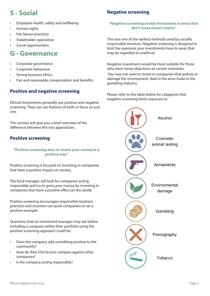# **S - Social**

- Employee health, safety and wellbeing
- Human rights
- Fair labour practices
- Stakeholder opposition
- Social opportunities

# **G - Governance**

- Corporate governance
- Corporate behaviour
- Strong business ethics
- Fair and reasonable compensation and benefits

## **Positive and negative screening**

Ethical investments generally use positive and negative screening. They can use features of both or focus on just one.

This section will give you a brief overview of the difference between the two approaches.

## **Positive screening**

#### **"Positive screening aims to invest your money in a positive way"**

Positive screening is focused on investing in companies that have a positive impact on society.

The fund manager will look for companies acting responsibly and try to grow your money by investing in companies that have a positive effect on the world.

Positive screening encourages responsible business practices and investors can push companies to set a positive example.

Questions that an investment manager may ask before including a company within their portfolio using the positive screening approach could be:

- Does this company add something positive to the community?
- How do their ESG factors compare against other companies?
- Is the company acting responsibly?

## **Negative screening**

#### **"Negative screening avoids investment in areas that don't meet moral criteria"**

This was one of the earliest methods used by socially responsible investors. Negative screening is designed to limit the exposure your investments have to areas that may be regarded as unethical.

Negative investment would be most suitable for those who have moral objections to certain industries.

 You may not want to invest in companies that pollute or damage the environment, deal in the arms trade or the gambling industry.

Please refer to the table below for catagories that negative screening limits exposure to.

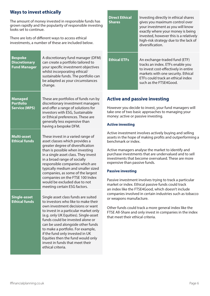### **Ways to invest ethically**

The amount of money invested in responsible funds has grown rapidly and the popularity of responsible investing looks set to continue.

There are lots of different ways to access ethical investments, a number of these are included below.

| <b>Bespoke</b><br><b>Discretionary</b><br><b>Fund Manager</b> | A discretionary fund manager (DFM)<br>can create a portfolio tailored to<br>your specific investment objectives<br>whilst incorporating ethical/<br>sustainable funds. The portfolio can<br>be adapted as your circumstances<br>change.                                                                                                                                                                                                        |
|---------------------------------------------------------------|------------------------------------------------------------------------------------------------------------------------------------------------------------------------------------------------------------------------------------------------------------------------------------------------------------------------------------------------------------------------------------------------------------------------------------------------|
| <b>Managed</b><br><b>Portfolio</b><br><b>Service (MPS)</b>    | These are portfolios of funds run by<br>discretionary investment managers<br>and offer a range of solutions for<br>investors with ESG, Sustainable<br>or Ethical preferences. These are<br>generally less expensive than<br>having a bespoke DFM.                                                                                                                                                                                              |
| <b>Multi-asset</b><br><b>Ethical funds</b>                    | These invest in a varied range of<br>asset classes which provides a<br>greater degree of diversification<br>than is possible when investing<br>in a single asset class. They invest<br>in a broad range of socially<br>responsible companies which are<br>typically medium and smaller sized<br>companies, as some of the largest<br>companies on the FTSE 100 Index<br>would be excluded due to not<br>meeting certain ESG factors.           |
| <b>Single-asset</b><br><b>Ethical funds</b>                   | Single asset class funds are suited<br>to investors who like to make their<br>own investment decisions or want<br>to invest in a particular market only<br>(e.g. only UK Equities). Single-asset<br>funds could be invested alone or<br>can be used alongside other funds<br>to make a portfolio. For example,<br>if the fund only invested in UK<br>Equities then the fund would only<br>invest in funds that meet their<br>ethical criteria. |

| <b>Direct Ethical</b><br><b>Shares</b> | Investing directly in ethical shares<br>gives you maximum control over<br>your investment as you will know<br>exactly where your money is being<br>invested, however this is a relatively<br>high-risk strategy due to the lack of<br>diversification. |
|----------------------------------------|--------------------------------------------------------------------------------------------------------------------------------------------------------------------------------------------------------------------------------------------------------|
| <b>Ethical ETFs</b>                    | An exchange-traded fund (ETF)<br>tracks an index. ETFs enable you<br>to invest cost-effectively in entire<br>markets with one security. Ethical<br>ETEs could track an ethical index<br>such as the FTSE4Good.                                         |

#### **Active and passive investing**

However you decide to invest, your fund managers will take one of two basic approaches to managing your money: active or passive investing.

#### **Active investing**

Active investment involves actively buying and selling assets in the hope of making profits and outperforming a benchmark or index.

Active managers analyse the market to identify and purchase investments that are undervalued and to sell investments that become overvalued. These are more expensive than passive funds.

#### **Passive investing**

Passive investment involves trying to track a particular market or index. Ethical passive funds could track an index like the FTSE4Good, which doesn't include companies involved in certain industries such as tobacco or weapons manufacture.

Other funds could track a more general index like the FTSE All-Share and only invest in companies in the index that meet their ethical criteria.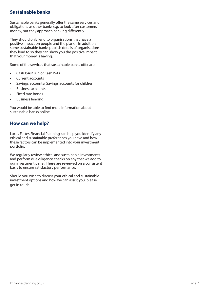### **Sustainable banks**

Sustainable banks generally offer the same services and obligations as other banks e.g. to look after customers' money, but they approach banking differently.

They should only lend to organisations that have a positive impact on people and the planet. In addition, some sustainable banks publish details of organisations they lend to so they can show you the positive impact that your money is having.

Some of the services that sustainable banks offer are:

- Cash ISAs/ Junior Cash ISAs
- Current accounts
- Savings accounts/ Savings accounts for children
- Business accounts
- Fixed rate bonds
- Business lending

You would be able to find more information about sustainable banks online.

#### **How can we help?**

Lucas Fettes Financial Planning can help you identify any ethical and sustainable preferences you have and how these factors can be implemented into your investment portfolio.

We regularly review ethical and sustainable investments and perform due diligence checks on any that we add to our investment panel. These are reviewed on a consistent basis to ensure satisfactory performance.

Should you wish to discuss your ethical and sustainable investment options and how we can assist you, please get in touch.